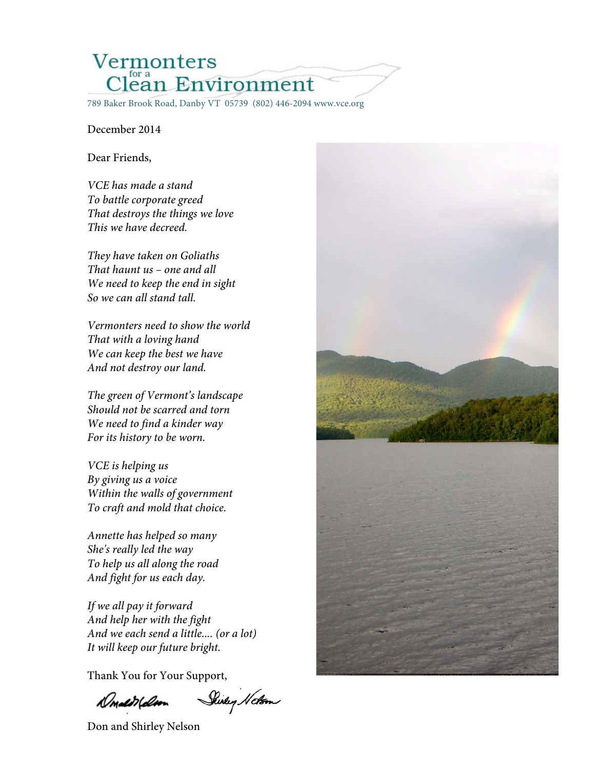# Vermonters Clean Environment

### December 2014

### Dear Friends,

*VCE has made a stand To battle corporate greed That destroys the things we love This we have decreed.*

*They have taken on Goliaths That haunt us – one and all We need to keep the end in sight So we can all stand tall.*

*Vermonters need to show the world That with a loving hand We can keep the best we have And not destroy our land.*

*The green of Vermont's landscape Should not be scarred and torn We need to find a kinder way For its history to be worn.* 

*VCE is helping us By giving us a voice Within the walls of government To craft and mold that choice.* 

*Annette has helped so many She's really led the way To help us all along the road And fight for us each day.*

*If we all pay it forward And help her with the fight And we each send a little.... (or a lot) It will keep our future bright.*

Thank You for Your Support,

Shirley Noton Donald (don

Don and Shirley Nelson

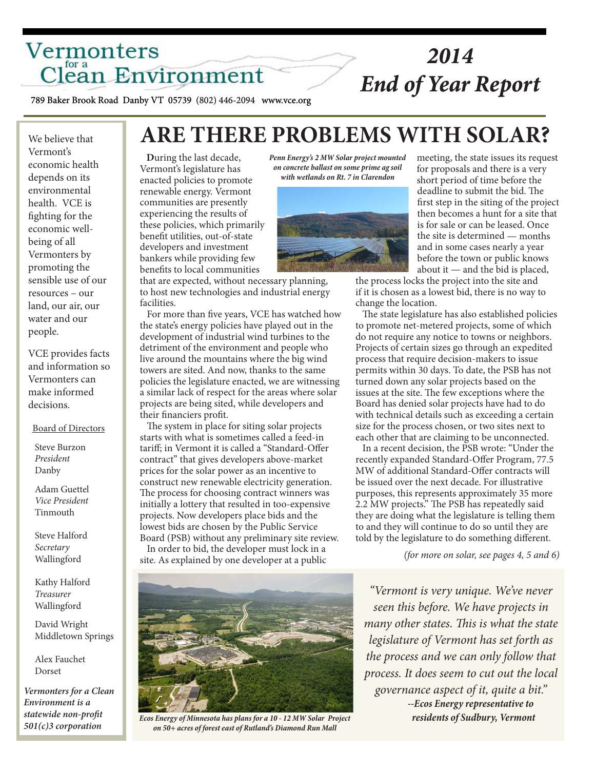## Vermonters Clean Environment

## *2014 End of Year Report*

789 Baker Brook Road Danby VT 05739 (802) 446-2094 www.vce.org

We believe that We believe that Vermont's Vermont's economic health economic health depends on its depends on its environmental environmental health. VCE is health. VCE is fighting for the fighting for the economic well-economic wellbeing of all being of all Vermonters by Vermonters by promoting the promoting the sensible use of our sensible use of our resources – our resources – our land, our air, our land, our air, our water and our water and our people. people.

Ĩ

Ĩ

VCE provides facts VCE provides facts and information so and information so Vermonters can Vermonters can make informed make informed decisions. decisions.

#### Board of Directors Board of Directors

 Steve Burzon Steve Burzon *President President* Danby Danby

Adam Guettel *Vice President Vice President* Tinmouth

Steve Halford Secretary Wallingford

 *Secretary* Kathy Halford Wallingford *Treasurer*

David Wright Middletown Springs

 Tinmouth Dorset *Environment is a*  Alex Fauchet

*statewide non-profit Vermonters for a Clean 501(c)3 corporation Environment is a statewide non-profit 501(c)3 corporation*

## **ARE THERE PROBLEMS WITH SOLAR?**

 **D**uring the last decade, Vermont's legislature has enacted policies to promote renewable energy. Vermont communities are presently experiencing the results of these policies, which primarily benefit utilities, out-of-state developers and investment bankers while providing few benefits to local communities

that are expected, without necessary planning, to host new technologies and industrial energy facilities.

 For more than five years, VCE has watched how the state's energy policies have played out in the development of industrial wind turbines to the detriment of the environment and people who live around the mountains where the big wind towers are sited. And now, thanks to the same policies the legislature enacted, we are witnessing a similar lack of respect for the areas where solar projects are being sited, while developers and their financiers profit.

 The system in place for siting solar projects starts with what is sometimes called a feed-in tariff; in Vermont it is called a "Standard-Offer contract" that gives developers above-market prices for the solar power as an incentive to construct new renewable electricity generation. The process for choosing contract winners was initially a lottery that resulted in too-expensive projects. Now developers place bids and the lowest bids are chosen by the Public Service Board (PSB) without any preliminary site review. In order to bid, the developer must lock in a site. As explained by one developer at a public



*Ecos Energy of Minnesota has plans for a 10 - 12 MW Solar Project on 50+ acres of forest east of Rutland's Diamond Run Mall*

*Penn Energy's 2 MW Solar project mounted on concrete ballast on some prime ag soil with wetlands on Rt. 7 in Clarendon*



meeting, the state issues its request for proposals and there is a very short period of time before the deadline to submit the bid. The first step in the siting of the project then becomes a hunt for a site that is for sale or can be leased. Once the site is determined — months and in some cases nearly a year before the town or public knows about it — and the bid is placed,

the process locks the project into the site and if it is chosen as a lowest bid, there is no way to change the location.

 The state legislature has also established policies to promote net-metered projects, some of which do not require any notice to towns or neighbors. Projects of certain sizes go through an expedited process that require decision-makers to issue permits within 30 days. To date, the PSB has not turned down any solar projects based on the issues at the site. The few exceptions where the Board has denied solar projects have had to do with technical details such as exceeding a certain size for the process chosen, or two sites next to each other that are claiming to be unconnected.

 In a recent decision, the PSB wrote: "Under the recently expanded Standard-Offer Program, 77.5 MW of additional Standard-Offer contracts will be issued over the next decade. For illustrative purposes, this represents approximately 35 more 2.2 MW projects." The PSB has repeatedly said they are doing what the legislature is telling them to and they will continue to do so until they are told by the legislature to do something different.

*(for more on solar, see pages 4, 5 and 6)*

*"Vermont is very unique. We've never seen this before. We have projects in many other states. This is what the state legislature of Vermont has set forth as the process and we can only follow that process. It does seem to cut out the local governance aspect of it, quite a bit." --Ecos Energy representative to residents of Sudbury, Vermont*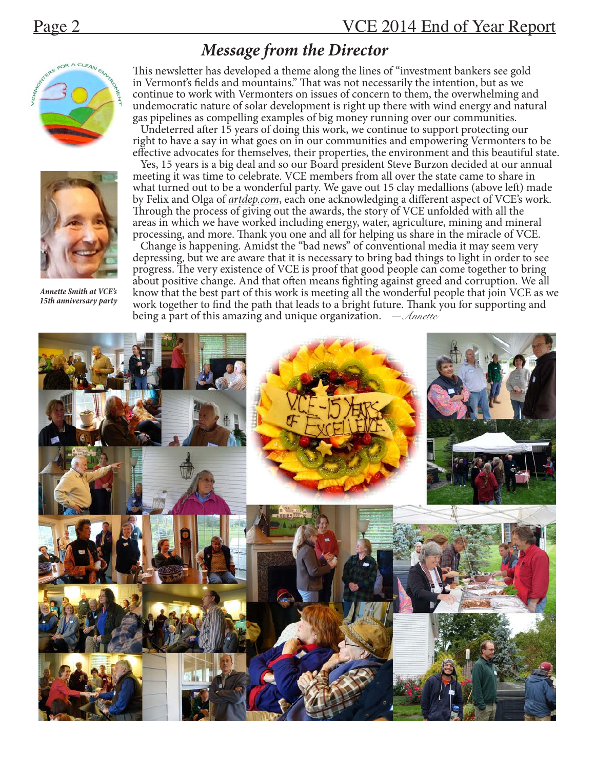## *Message from the Director*





*Annette Smith at VCE's 15th anniversary party*

This newsletter has developed a theme along the lines of "investment bankers see gold in Vermont's fields and mountains." That was not necessarily the intention, but as we continue to work with Vermonters on issues of concern to them, the overwhelming and undemocratic nature of solar development is right up there with wind energy and natural gas pipelines as compelling examples of big money running over our communities.

 Undeterred after 15 years of doing this work, we continue to support protecting our right to have a say in what goes on in our communities and empowering Vermonters to be effective advocates for themselves, their properties, the environment and this beautiful state.

 Yes, 15 years is a big deal and so our Board president Steve Burzon decided at our annual meeting it was time to celebrate. VCE members from all over the state came to share in what turned out to be a wonderful party. We gave out 15 clay medallions (above left) made by Felix and Olga of *artdep.com*, each one acknowledging a different aspect of VCE's work. Through the process of giving out the awards, the story of VCE unfolded with all the areas in which we have worked including energy, water, agriculture, mining and mineral processing, and more. Thank you one and all for helping us share in the miracle of VCE.

 Change is happening. Amidst the "bad news" of conventional media it may seem very depressing, but we are aware that it is necessary to bring bad things to light in order to see progress. The very existence of VCE is proof that good people can come together to bring about positive change. And that often means fighting against greed and corruption. We all know that the best part of this work is meeting all the wonderful people that join VCE as we work together to find the path that leads to a bright future. Thank you for supporting and being a part of this amazing and unique organization. —*Annette*

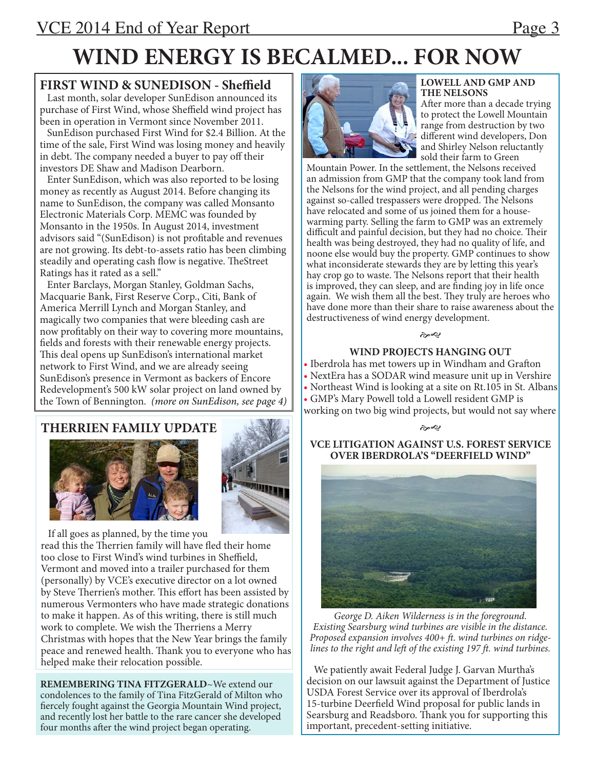## **WIND ENERGY IS BECALMED... FOR NOW**

## **FIRST WIND & SUNEDISON - Sheffield**

 Last month, solar developer SunEdison announced its purchase of First Wind, whose Sheffield wind project has been in operation in Vermont since November 2011.

 SunEdison purchased First Wind for \$2.4 Billion. At the time of the sale, First Wind was losing money and heavily in debt. The company needed a buyer to pay off their investors DE Shaw and Madison Dearborn.

 Enter SunEdison, which was also reported to be losing money as recently as August 2014. Before changing its name to SunEdison, the company was called Monsanto Electronic Materials Corp. MEMC was founded by Monsanto in the 1950s. In August 2014, investment advisors said "(SunEdison) is not profitable and revenues are not growing. Its debt-to-assets ratio has been climbing steadily and operating cash flow is negative. TheStreet Ratings has it rated as a sell."

 Enter Barclays, Morgan Stanley, Goldman Sachs, Macquarie Bank, First Reserve Corp., Citi, Bank of America Merrill Lynch and Morgan Stanley, and magically two companies that were bleeding cash are now profitably on their way to covering more mountains, fields and forests with their renewable energy projects. This deal opens up SunEdison's international market network to First Wind, and we are already seeing SunEdison's presence in Vermont as backers of Encore Redevelopment's 500 kW solar project on land owned by the Town of Bennington. *(more on SunEdison, see page 4)*

## **THERRIEN FAMILY UPDATE**





 If all goes as planned, by the time you read this the Therrien family will have fled their home too close to First Wind's wind turbines in Sheffield, Vermont and moved into a trailer purchased for them (personally) by VCE's executive director on a lot owned by Steve Therrien's mother. This effort has been assisted by numerous Vermonters who have made strategic donations to make it happen. As of this writing, there is still much work to complete. We wish the Therriens a Merry Christmas with hopes that the New Year brings the family peace and renewed health. Thank you to everyone who has helped make their relocation possible.

**REMEMBERING TINA FITZGERALD**~We extend our condolences to the family of Tina FitzGerald of Milton who fiercely fought against the Georgia Mountain Wind project, and recently lost her battle to the rare cancer she developed four months after the wind project began operating.



#### **LOWELL AND GMP AND THE NELSONS**

After more than a decade trying to protect the Lowell Mountain range from destruction by two different wind developers, Don and Shirley Nelson reluctantly sold their farm to Green

Mountain Power. In the settlement, the Nelsons received an admission from GMP that the company took land from the Nelsons for the wind project, and all pending charges against so-called trespassers were dropped. The Nelsons have relocated and some of us joined them for a housewarming party. Selling the farm to GMP was an extremely difficult and painful decision, but they had no choice. Their health was being destroyed, they had no quality of life, and noone else would buy the property. GMP continues to show what inconsiderate stewards they are by letting this year's hay crop go to waste. The Nelsons report that their health is improved, they can sleep, and are finding joy in life once again. We wish them all the best. They truly are heroes who have done more than their share to raise awareness about the destructiveness of wind energy development.

#### eg

### **WIND PROJECTS HANGING OUT**

- Iberdrola has met towers up in Windham and Grafton
- NextEra has a SODAR wind measure unit up in Vershire
- Northeast Wind is looking at a site on Rt.105 in St. Albans
- GMP's Mary Powell told a Lowell resident GMP is
- working on two big wind projects, but would not say where بهيج

## **VCE LITIGATION AGAINST U.S. FOREST SERVICE OVER IBERDROLA'S "DEERFIELD WIND"**



*George D. Aiken Wilderness is in the foreground. Existing Searsburg wind turbines are visible in the distance. Proposed expansion involves 400+ ft. wind turbines on ridgelines to the right and left of the existing 197 ft. wind turbines.*

 We patiently await Federal Judge J. Garvan Murtha's decision on our lawsuit against the Department of Justice USDA Forest Service over its approval of Iberdrola's 15-turbine Deerfield Wind proposal for public lands in Searsburg and Readsboro. Thank you for supporting this important, precedent-setting initiative.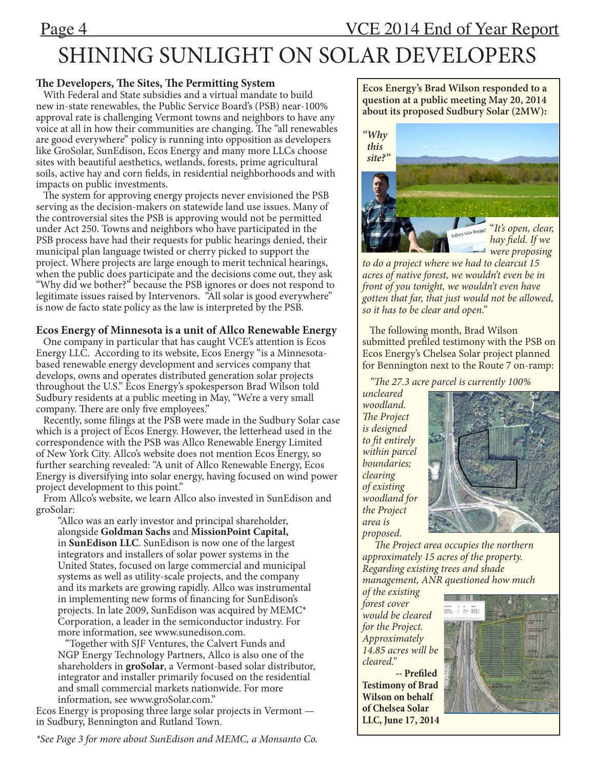## Page 4 VCE 2014 End of Year Report

# SHINING SUNLIGHT ON SOLAR DEVELOPERS

## **The Developers, The Sites, The Permitting System**

 With Federal and State subsidies and a virtual mandate to build new in-state renewables, the Public Service Board's (PSB) near-100% approval rate is challenging Vermont towns and neighbors to have any voice at all in how their communities are changing. The "all renewables are good everywhere" policy is running into opposition as developers like GroSolar, SunEdison, Ecos Energy and many more LLCs choose sites with beautiful aesthetics, wetlands, forests, prime agricultural soils, active hay and corn fields, in residential neighborhoods and with impacts on public investments.

 The system for approving energy projects never envisioned the PSB serving as the decision-makers on statewide land use issues. Many of the controversial sites the PSB is approving would not be permitted under Act 250. Towns and neighbors who have participated in the PSB process have had their requests for public hearings denied, their municipal plan language twisted or cherry picked to support the project. Where projects are large enough to merit technical hearings, when the public does participate and the decisions come out, they ask "Why did we bother?" because the PSB ignores or does not respond to legitimate issues raised by Intervenors. "All solar is good everywhere" is now de facto state policy as the law is interpreted by the PSB.

### **Ecos Energy of Minnesota is a unit of Allco Renewable Energy**

 One company in particular that has caught VCE's attention is Ecos Energy LLC. According to its website, Ecos Energy "is a Minnesotabased renewable energy development and services company that develops, owns and operates distributed generation solar projects throughout the U.S." Ecos Energy's spokesperson Brad Wilson told Sudbury residents at a public meeting in May, "We're a very small company. There are only five employees."

 Recently, some filings at the PSB were made in the Sudbury Solar case which is a project of Ecos Energy. However, the letterhead used in the correspondence with the PSB was Allco Renewable Energy Limited of New York City. Allco's website does not mention Ecos Energy, so further searching revealed: "A unit of Allco Renewable Energy, Ecos Energy is diversifying into solar energy, having focused on wind power project development to this point."

 From Allco's website, we learn Allco also invested in SunEdison and groSolar:

"Allco was an early investor and principal shareholder, alongside **Goldman Sachs** and **MissionPoint Capital,** in **SunEdison LLC**. SunEdison is now one of the largest integrators and installers of solar power systems in the United States, focused on large commercial and municipal systems as well as utility-scale projects, and the company and its markets are growing rapidly. Allco was instrumental in implementing new forms of financing for SunEdison's projects. In late 2009, SunEdison was acquired by MEMC\* Corporation, a leader in the semiconductor industry. For more information, see www.sunedison.com.

 "Together with SJF Ventures, the Calvert Funds and NGP Energy Technology Partners, Allco is also one of the shareholders in **groSolar**, a Vermont-based solar distributor, integrator and installer primarily focused on the residential and small commercial markets nationwide. For more information, see www.groSolar.com."

Ecos Energy is proposing three large solar projects in Vermont in Sudbury, Bennington and Rutland Town.

*\*See Page 3 for more about SunEdison and MEMC, a Monsanto Co.*

**Ecos Energy's Brad Wilson responded to a question at a public meeting May 20, 2014 about its proposed Sudbury Solar (2MW):** 



*to do a project where we had to clearcut 15 acres of native forest, we wouldn't even be in front of you tonight, we wouldn't even have gotten that far, that just would not be allowed, so it has to be clear and open."*

 The following month, Brad Wilson submitted prefiled testimony with the PSB on Ecos Energy's Chelsea Solar project planned for Bennington next to the Route 7 on-ramp:

 *"The 27.3 acre parcel is currently 100%* 

*uncleared woodland. The Project is designed to fit entirely within parcel boundaries; clearing of existing woodland for the Project area is proposed.* 



 *The Project area occupies the northern approximately 15 acres of the property. Regarding existing trees and shade management, ANR questioned how much* 

*of the existing forest cover would be cleared for the Project. Approximately 14.85 acres will be cleared."*

 **-- Prefiled Testimony of Brad Wilson on behalf of Chelsea Solar LLC, June 17, 2014**

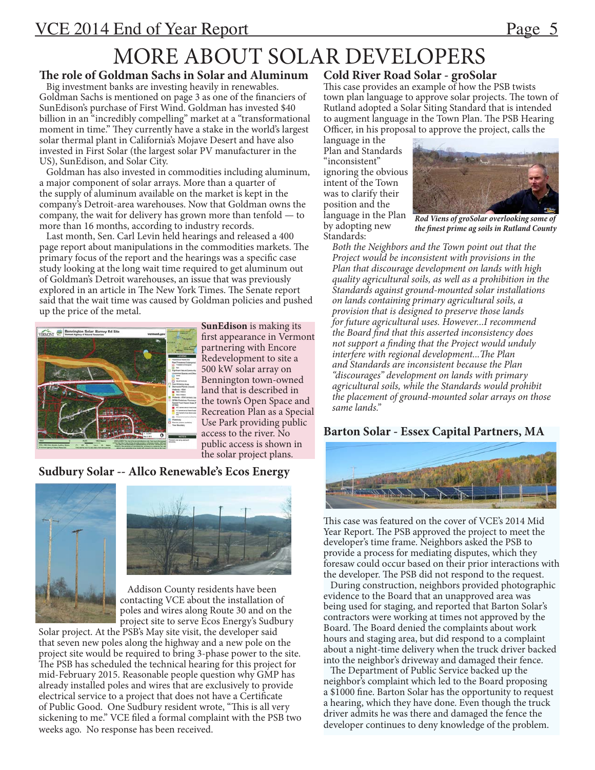## MORE ABOUT SOLAR DEVELOPERS

## **The role of Goldman Sachs in Solar and Aluminum**

 Big investment banks are investing heavily in renewables. Goldman Sachs is mentioned on page 3 as one of the financiers of SunEdison's purchase of First Wind. Goldman has invested \$40 billion in an "incredibly compelling" market at a "transformational moment in time." They currently have a stake in the world's largest solar thermal plant in California's Mojave Desert and have also invested in First Solar (the largest solar PV manufacturer in the US), SunEdison, and Solar City.

 Goldman has also invested in commodities including aluminum, a major component of solar arrays. More than a quarter of the supply of aluminum available on the market is kept in the company's Detroit-area warehouses. Now that Goldman owns the company, the wait for delivery has grown more than tenfold — to more than 16 months, according to industry records.

 Last month, Sen. Carl Levin held hearings and released a 400 page report about manipulations in the commodities markets. The primary focus of the report and the hearings was a specific case study looking at the long wait time required to get aluminum out of Goldman's Detroit warehouses, an issue that was previously explored in an article in The New York Times. The Senate report said that the wait time was caused by Goldman policies and pushed up the price of the metal.



**SunEdison** is making its first appearance in Vermont partnering with Encore Redevelopment to site a 500 kW solar array on Bennington town-owned land that is described in the town's Open Space and Recreation Plan as a Special Use Park providing public access to the river. No public access is shown in the solar project plans.

## **Sudbury Solar -- Allco Renewable's Ecos Energy**





 Addison County residents have been contacting VCE about the installation of poles and wires along Route 30 and on the project site to serve Ecos Energy's Sudbury

Solar project. At the PSB's May site visit, the developer said that seven new poles along the highway and a new pole on the project site would be required to bring 3-phase power to the site. The PSB has scheduled the technical hearing for this project for mid-February 2015. Reasonable people question why GMP has already installed poles and wires that are exclusively to provide electrical service to a project that does not have a Certificate of Public Good. One Sudbury resident wrote, "This is all very sickening to me." VCE filed a formal complaint with the PSB two weeks ago. No response has been received.

## **Cold River Road Solar - groSolar**

This case provides an example of how the PSB twists town plan language to approve solar projects. The town of Rutland adopted a Solar Siting Standard that is intended to augment language in the Town Plan. The PSB Hearing Officer, in his proposal to approve the project, calls the

language in the Plan and Standards "inconsistent" ignoring the obvious intent of the Town was to clarify their position and the language in the Plan by adopting new Standards:



*Rod Viens of groSolar overlooking some of the finest prime ag soils in Rutland County*

*Both the Neighbors and the Town point out that the Project would be inconsistent with provisions in the Plan that discourage development on lands with high quality agricultural soils, as well as a prohibition in the Standards against ground-mounted solar installations on lands containing primary agricultural soils, a provision that is designed to preserve those lands for future agricultural uses. However...I recommend the Board find that this asserted inconsistency does not support a finding that the Project would unduly interfere with regional development...The Plan and Standards are inconsistent because the Plan "discourages" development on lands with primary agricultural soils, while the Standards would prohibit the placement of ground-mounted solar arrays on those same lands."* 

## **Barton Solar - Essex Capital Partners, MA**



This case was featured on the cover of VCE's 2014 Mid Year Report. The PSB approved the project to meet the developer's time frame. Neighbors asked the PSB to provide a process for mediating disputes, which they foresaw could occur based on their prior interactions with the developer. The PSB did not respond to the request.

 During construction, neighbors provided photographic evidence to the Board that an unapproved area was being used for staging, and reported that Barton Solar's contractors were working at times not approved by the Board. The Board denied the complaints about work hours and staging area, but did respond to a complaint about a night-time delivery when the truck driver backed into the neighbor's driveway and damaged their fence.

 The Department of Public Service backed up the neighbor's complaint which led to the Board proposing a \$1000 fine. Barton Solar has the opportunity to request a hearing, which they have done. Even though the truck driver admits he was there and damaged the fence the developer continues to deny knowledge of the problem.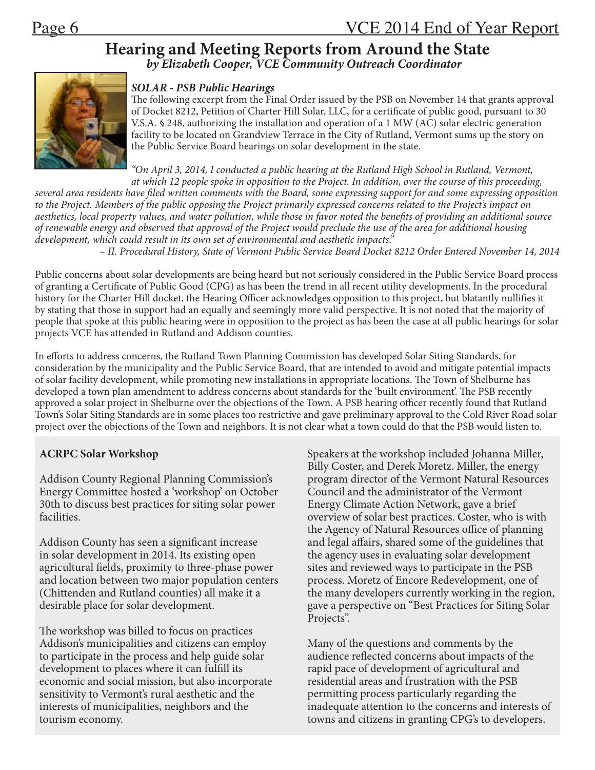# **Hearing and Meeting Reports from Around the State** *by Elizabeth Cooper, VCE Community Outreach Coordinator*



## *SOLAR - PSB Public Hearings*

The following excerpt from the Final Order issued by the PSB on November 14 that grants approval of Docket 8212, Petition of Charter Hill Solar, LLC, for a certificate of public good, pursuant to 30 V.S.A. § 248, authorizing the installation and operation of a 1 MW (AC) solar electric generation facility to be located on Grandview Terrace in the City of Rutland, Vermont sums up the story on the Public Service Board hearings on solar development in the state.

*"On April 3, 2014, I conducted a public hearing at the Rutland High School in Rutland, Vermont, at which 12 people spoke in opposition to the Project. In addition, over the course of this proceeding,* 

*several area residents have filed written comments with the Board, some expressing support for and some expressing opposition to the Project. Members of the public opposing the Project primarily expressed concerns related to the Project's impact on aesthetics, local property values, and water pollution, while those in favor noted the benefits of providing an additional source of renewable energy and observed that approval of the Project would preclude the use of the area for additional housing development, which could result in its own set of environmental and aesthetic impacts."* 

– *II. Procedural History, State of Vermont Public Service Board Docket 8212 Order Entered November 14, 2014*

Public concerns about solar developments are being heard but not seriously considered in the Public Service Board process of granting a Certificate of Public Good (CPG) as has been the trend in all recent utility developments. In the procedural history for the Charter Hill docket, the Hearing Officer acknowledges opposition to this project, but blatantly nullifies it by stating that those in support had an equally and seemingly more valid perspective. It is not noted that the majority of people that spoke at this public hearing were in opposition to the project as has been the case at all public hearings for solar projects VCE has attended in Rutland and Addison counties.

In efforts to address concerns, the Rutland Town Planning Commission has developed Solar Siting Standards, for consideration by the municipality and the Public Service Board, that are intended to avoid and mitigate potential impacts of solar facility development, while promoting new installations in appropriate locations. The Town of Shelburne has developed a town plan amendment to address concerns about standards for the 'built environment'. The PSB recently approved a solar project in Shelburne over the objections of the Town. A PSB hearing officer recently found that Rutland Town's Solar Siting Standards are in some places too restrictive and gave preliminary approval to the Cold River Road solar project over the objections of the Town and neighbors. It is not clear what a town could do that the PSB would listen to.

## **ACRPC Solar Workshop**

Addison County Regional Planning Commission's Energy Committee hosted a 'workshop' on October 30th to discuss best practices for siting solar power facilities.

Addison County has seen a significant increase in solar development in 2014. Its existing open agricultural fields, proximity to three-phase power and location between two major population centers (Chittenden and Rutland counties) all make it a desirable place for solar development.

The workshop was billed to focus on practices Addison's municipalities and citizens can employ to participate in the process and help guide solar development to places where it can fulfill its economic and social mission, but also incorporate sensitivity to Vermont's rural aesthetic and the interests of municipalities, neighbors and the tourism economy.

Speakers at the workshop included Johanna Miller, Billy Coster, and Derek Moretz. Miller, the energy program director of the Vermont Natural Resources Council and the administrator of the Vermont Energy Climate Action Network, gave a brief overview of solar best practices. Coster, who is with the Agency of Natural Resources office of planning and legal affairs, shared some of the guidelines that the agency uses in evaluating solar development sites and reviewed ways to participate in the PSB process. Moretz of Encore Redevelopment, one of the many developers currently working in the region, gave a perspective on "Best Practices for Siting Solar Projects".

Many of the questions and comments by the audience reflected concerns about impacts of the rapid pace of development of agricultural and residential areas and frustration with the PSB permitting process particularly regarding the inadequate attention to the concerns and interests of towns and citizens in granting CPG's to developers.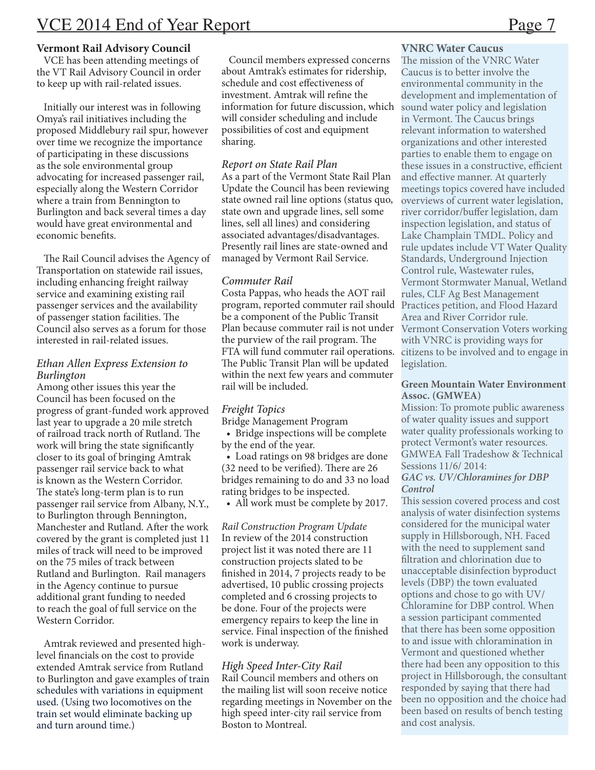### **Vermont Rail Advisory Council**

 VCE has been attending meetings of the VT Rail Advisory Council in order to keep up with rail-related issues.

 Initially our interest was in following Omya's rail initiatives including the proposed Middlebury rail spur, however over time we recognize the importance of participating in these discussions as the sole environmental group advocating for increased passenger rail, especially along the Western Corridor where a train from Bennington to Burlington and back several times a day would have great environmental and economic benefits.

 The Rail Council advises the Agency of Transportation on statewide rail issues, including enhancing freight railway service and examining existing rail passenger services and the availability of passenger station facilities. The Council also serves as a forum for those interested in rail-related issues.

#### *Ethan Allen Express Extension to Burlington*

Among other issues this year the Council has been focused on the progress of grant-funded work approved last year to upgrade a 20 mile stretch of railroad track north of Rutland. The work will bring the state significantly closer to its goal of bringing Amtrak passenger rail service back to what is known as the Western Corridor. The state's long-term plan is to run passenger rail service from Albany, N.Y., to Burlington through Bennington, Manchester and Rutland. After the work covered by the grant is completed just 11 miles of track will need to be improved on the 75 miles of track between Rutland and Burlington. Rail managers in the Agency continue to pursue additional grant funding to needed to reach the goal of full service on the Western Corridor.

 Amtrak reviewed and presented highlevel financials on the cost to provide extended Amtrak service from Rutland to Burlington and gave examples of train schedules with variations in equipment used. (Using two locomotives on the train set would eliminate backing up and turn around time.)

 Council members expressed concerns about Amtrak's estimates for ridership, schedule and cost effectiveness of investment. Amtrak will refine the information for future discussion, which will consider scheduling and include possibilities of cost and equipment sharing.

### *Report on State Rail Plan*

As a part of the Vermont State Rail Plan Update the Council has been reviewing state owned rail line options (status quo, state own and upgrade lines, sell some lines, sell all lines) and considering associated advantages/disadvantages. Presently rail lines are state-owned and managed by Vermont Rail Service.

### *Commuter Rail*

Costa Pappas, who heads the AOT rail program, reported commuter rail should be a component of the Public Transit Plan because commuter rail is not under the purview of the rail program. The FTA will fund commuter rail operations. The Public Transit Plan will be updated within the next few years and commuter rail will be included.

### *Freight Topics*

Bridge Management Program

 • Bridge inspections will be complete by the end of the year.

 • Load ratings on 98 bridges are done (32 need to be verified). There are 26 bridges remaining to do and 33 no load rating bridges to be inspected.

• All work must be complete by 2017.

*Rail Construction Program Update* In review of the 2014 construction project list it was noted there are 11 construction projects slated to be finished in 2014, 7 projects ready to be advertised, 10 public crossing projects completed and 6 crossing projects to be done. Four of the projects were emergency repairs to keep the line in service. Final inspection of the finished work is underway.

### *High Speed Inter-City Rail*

Rail Council members and others on the mailing list will soon receive notice regarding meetings in November on the high speed inter-city rail service from Boston to Montreal.

### **VNRC Water Caucus**

The mission of the VNRC Water Caucus is to better involve the environmental community in the development and implementation of sound water policy and legislation in Vermont. The Caucus brings relevant information to watershed organizations and other interested parties to enable them to engage on these issues in a constructive, efficient and effective manner. At quarterly meetings topics covered have included overviews of current water legislation, river corridor/buffer legislation, dam inspection legislation, and status of Lake Champlain TMDL. Policy and rule updates include VT Water Quality Standards, Underground Injection Control rule, Wastewater rules, Vermont Stormwater Manual, Wetland rules, CLF Ag Best Management Practices petition, and Flood Hazard Area and River Corridor rule. Vermont Conservation Voters working with VNRC is providing ways for citizens to be involved and to engage in legislation.

### **Green Mountain Water Environment Assoc. (GMWEA)**

Mission: To promote public awareness of water quality issues and support water quality professionals working to protect Vermont's water resources. GMWEA Fall Tradeshow & Technical Sessions 11/6/ 2014:

#### *GAC vs. UV/Chloramines for DBP Control*

This session covered process and cost analysis of water disinfection systems considered for the municipal water supply in Hillsborough, NH. Faced with the need to supplement sand filtration and chlorination due to unacceptable disinfection byproduct levels (DBP) the town evaluated options and chose to go with UV/ Chloramine for DBP control. When a session participant commented that there has been some opposition to and issue with chloramination in Vermont and questioned whether there had been any opposition to this project in Hillsborough, the consultant responded by saying that there had been no opposition and the choice had been based on results of bench testing and cost analysis.